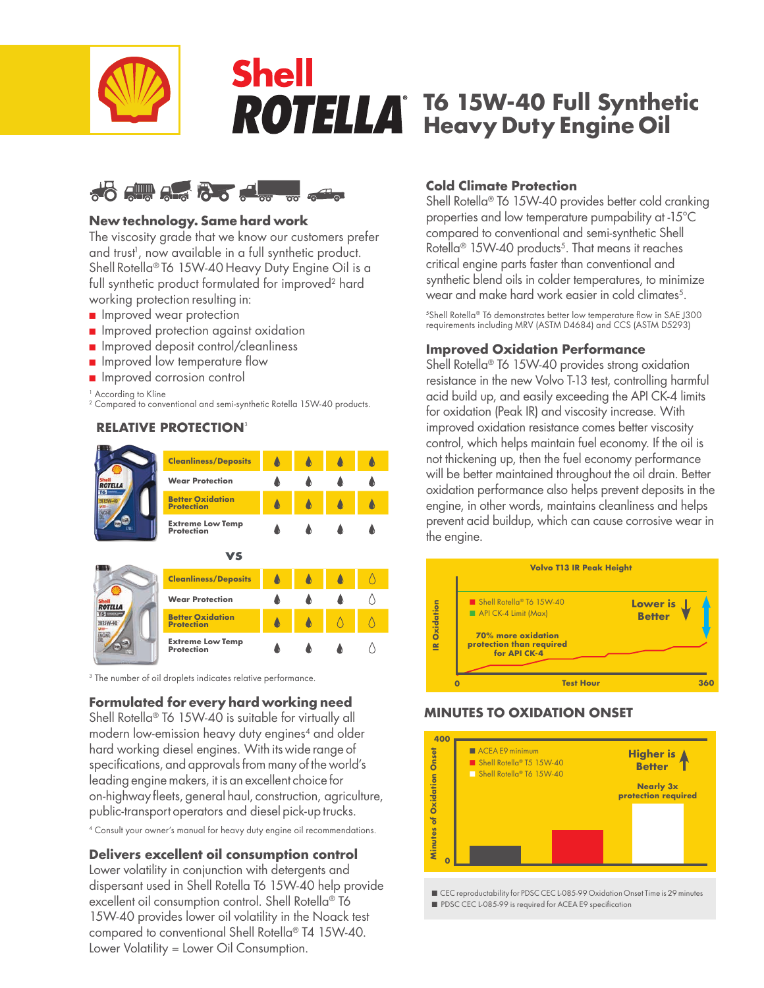

# **Shell T6 15W-40 Full Synthetic Heavy Duty Engine Oil**



## **New technology. Same hard work**

The viscosity grade that we know our customers prefer and trust<sup>i</sup>, now available in a full synthetic product. Shell Rotella<sup>®</sup> T6 15W-40 Heavy Duty Engine Oil is a full synthetic product formulated for improved<sup>2</sup> hard working protection resulting in:

- **n** Improved wear protection
- **n** Improved protection against oxidation
- n Improved deposit control/cleanliness
- **n** Improved low temperature flow
- **n** Improved corrosion control

<sup>1</sup> According to Kline

2 Compared to conventional and semi-synthetic Rotella 15W-40 products.

# **RELATIVE PROTECTION**<sup>3</sup>



<sup>3</sup> The number of oil droplets indicates relative performance.

## **Formulated for every hard working need**

Shell Rotella<sup>®</sup> T6 15W-40 is suitable for virtually all modern low-emission heavy duty engines<sup>4</sup> and older hard working diesel engines. With its wide range of specifications, and approvals from many of the world's leading engine makers, it is an excellent choice for on-highway fleets, general haul, construction, agriculture, public-transport operators and diesel pick-up trucks.

4 Consult your owner's manual for heavy duty engine oil recommendations.

## **Delivers excellent oil consumption control**

Lower volatility in conjunction with detergents and dispersant used in Shell Rotella T6 15W-40 help provide excellent oil consumption control. Shell Rotella® T6 15W-40 provides lower oil volatility in the Noack test compared to conventional Shell Rotella® T4 15W-40. Lower Volatility = Lower Oil Consumption.

## **Cold Climate Protection**

Shell Rotella<sup>®</sup> T6 15W-40 provides better cold cranking properties and low temperature pumpability at -15°C compared to conventional and semi-synthetic Shell Rotella<sup>®</sup> 15W-40 products<sup>5</sup>. That means it reaches critical engine parts faster than conventional and synthetic blend oils in colder temperatures, to minimize wear and make hard work easier in cold climates<sup>5</sup>.

5Shell Rotella® T6 demonstrates better low temperature flow in SAE J300 requirements including MRV (ASTM D4684) and CCS (ASTM D5293)

## **Improved Oxidation Performance**

Shell Rotella<sup>®</sup> T6 15W-40 provides strong oxidation resistance in the new Volvo T-13 test, controlling harmful acid build up, and easily exceeding the API CK-4 limits for oxidation (Peak IR) and viscosity increase. With improved oxidation resistance comes better viscosity control, which helps maintain fuel economy. If the oil is not thickening up, then the fuel economy performance will be better maintained throughout the oil drain. Better oxidation performance also helps prevent deposits in the engine, in other words, maintains cleanliness and helps prevent acid buildup, which can cause corrosive wear in the engine.



# **MINUTES TO OXIDATION ONSET**



■ CEC reproductability for PDSC CEC L-085-99 Oxidation Onset Time is 29 minutes ■ PDSC CEC L-085-99 is required for ACEA E9 specification